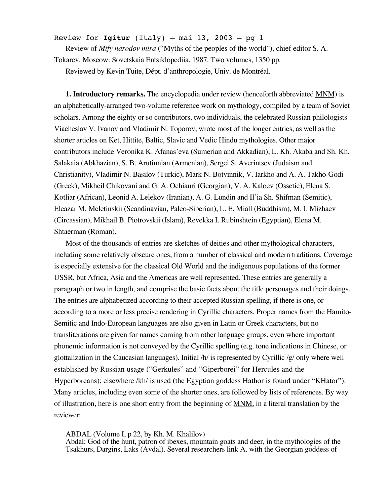Review for  $Igitur$  (Italy) – mai 13, 2003 – pg 1

Review of *Mify narodov mira* ("Myths of the peoples of the world"), chief editor S. A. Tokarev. Moscow: Sovetskaia Entsiklopediia, 1987. Two volumes, 1350 pp.

Reviewed by Kevin Tuite, Dépt. d'anthropologie, Univ. de Montréal.

**1. Introductory remarks.** The encyclopedia under review (henceforth abbreviated MNM) is an alphabetically-arranged two-volume reference work on mythology, compiled by a team of Soviet scholars. Among the eighty or so contributors, two individuals, the celebrated Russian philologists Viacheslav V. Ivanov and Vladimir N. Toporov, wrote most of the longer entries, as well as the shorter articles on Ket, Hittite, Baltic, Slavic and Vedic Hindu mythologies. Other major contributors include Veronika K. Afanas'eva (Sumerian and Akkadian), L. Kh. Akaba and Sh. Kh. Salakaia (Abkhazian), S. B. Arutiunian (Armenian), Sergei S. Averintsev (Judaism and Christianity), Vladimir N. Basilov (Turkic), Mark N. Botvinnik, V. Iarkho and A. A. Takho-Godi (Greek), Mikheil Chikovani and G. A. Ochiauri (Georgian), V. A. Kaloev (Ossetic), Elena S. Kotliar (African), Leonid A. Lelekov (Iranian), A. G. Lundin and Il'ia Sh. Shifman (Semitic), Eleazar M. Meletinskii (Scandinavian, Paleo-Siberian), L. E. Miall (Buddhism), M. I. Mizhaev (Circassian), Mikhail B. Piotrovskii (Islam), Revekka I. Rubinshtein (Egyptian), Elena M. Shtaerman (Roman).

Most of the thousands of entries are sketches of deities and other mythological characters, including some relatively obscure ones, from a number of classical and modern traditions. Coverage is especially extensive for the classical Old World and the indigenous populations of the former USSR, but Africa, Asia and the Americas are well represented. These entries are generally a paragraph or two in length, and comprise the basic facts about the title personages and their doings. The entries are alphabetized according to their accepted Russian spelling, if there is one, or according to a more or less precise rendering in Cyrillic characters. Proper names from the Hamito-Semitic and Indo-European languages are also given in Latin or Greek characters, but no transliterations are given for names coming from other language groups, even where important phonemic information is not conveyed by the Cyrillic spelling (e.g. tone indications in Chinese, or glottalization in the Caucasian languages). Initial /h/ is represented by Cyrillic /g/ only where well established by Russian usage ("Gerkules" and "Giperborei" for Hercules and the Hyperboreans); elsewhere /kh/ is used (the Egyptian goddess Hathor is found under "KHator"). Many articles, including even some of the shorter ones, are followed by lists of references. By way of illustration, here is one short entry from the beginning of MNM, in a literal translation by the reviewer:

ABDAL (Volume I, p 22, by Kh. M. Khalilov)

Abdal: God of the hunt, patron of ibexes, mountain goats and deer, in the mythologies of the Tsakhurs, Dargins, Laks (Avdal). Several researchers link A. with the Georgian goddess of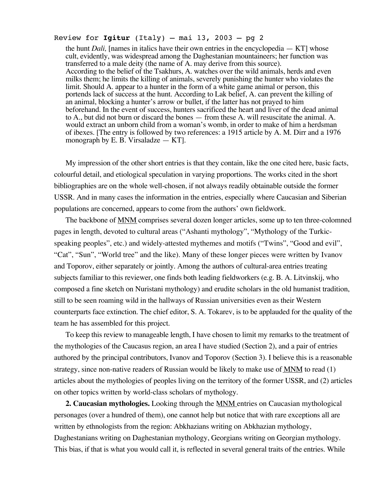## Review for  $Igitur$  (Italy) – mai 13, 2003 – pg 2

the hunt *Dali,* [names in italics have their own entries in the encyclopedia — KT] whose cult, evidently, was widespread among the Daghestanian mountaineers; her function was transferred to a male deity (the name of A. may derive from this source). According to the belief of the Tsakhurs, A. watches over the wild animals, herds and even milks them; he limits the killing of animals, severely punishing the hunter who violates the limit. Should A. appear to a hunter in the form of a white game animal or person, this portends lack of success at the hunt. According to Lak belief, A. can prevent the killing of an animal, blocking a hunter's arrow or bullet, if the latter has not prayed to him beforehand. In the event of success, hunters sacrificed the heart and liver of the dead animal to A., but did not burn or discard the bones — from these A. will resuscitate the animal. A. would extract an unborn child from a woman's womb, in order to make of him a herdsman of ibexes. [The entry is followed by two references: a 1915 article by A. M. Dirr and a 1976 monograph by E. B. Virsaladze  $-$  KT.

My impression of the other short entries is that they contain, like the one cited here, basic facts, colourful detail, and etiological speculation in varying proportions. The works cited in the short bibliographies are on the whole well-chosen, if not always readily obtainable outside the former USSR. And in many cases the information in the entries, especially where Caucasian and Siberian populations are concerned, appears to come from the authors' own fieldwork.

The backbone of **MNM** comprises several dozen longer articles, some up to ten three-colomned pages in length, devoted to cultural areas ("Ashanti mythology", "Mythology of the Turkicspeaking peoples", etc.) and widely-attested mythemes and motifs ("Twins", "Good and evil", "Cat", "Sun", "World tree" and the like). Many of these longer pieces were written by Ivanov and Toporov, either separately or jointly. Among the authors of cultural-area entries treating subjects familiar to this reviewer, one finds both leading fieldworkers (e.g. B. A. Litvinskij, who composed a fine sketch on Nuristani mythology) and erudite scholars in the old humanist tradition, still to be seen roaming wild in the hallways of Russian universities even as their Western counterparts face extinction. The chief editor, S. A. Tokarev, is to be applauded for the quality of the team he has assembled for this project.

To keep this review to manageable length, I have chosen to limit my remarks to the treatment of the mythologies of the Caucasus region, an area I have studied (Section 2), and a pair of entries authored by the principal contributors, Ivanov and Toporov (Section 3). I believe this is a reasonable strategy, since non-native readers of Russian would be likely to make use of MNM to read (1) articles about the mythologies of peoples living on the territory of the former USSR, and (2) articles on other topics written by world-class scholars of mythology.

**2. Caucasian mythologies.** Looking through the MNM entries on Caucasian mythological personages (over a hundred of them), one cannot help but notice that with rare exceptions all are written by ethnologists from the region: Abkhazians writing on Abkhazian mythology, Daghestanians writing on Daghestanian mythology, Georgians writing on Georgian mythology. This bias, if that is what you would call it, is reflected in several general traits of the entries. While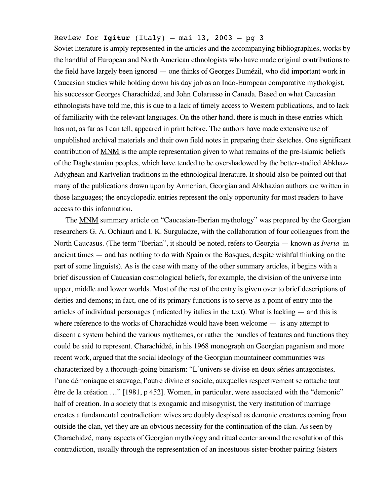# Review for  $Igitur$  (Italy) – mai 13, 2003 – pg 3

Soviet literature is amply represented in the articles and the accompanying bibliographies, works by the handful of European and North American ethnologists who have made original contributions to the field have largely been ignored — one thinks of Georges Dumézil, who did important work in Caucasian studies while holding down his day job as an Indo-European comparative mythologist, his successor Georges Charachidzé, and John Colarusso in Canada. Based on what Caucasian ethnologists have told me, this is due to a lack of timely access to Western publications, and to lack of familiarity with the relevant languages. On the other hand, there is much in these entries which has not, as far as I can tell, appeared in print before. The authors have made extensive use of unpublished archival materials and their own field notes in preparing their sketches. One significant contribution of MNM is the ample representation given to what remains of the pre-Islamic beliefs of the Daghestanian peoples, which have tended to be overshadowed by the better-studied Abkhaz-Adyghean and Kartvelian traditions in the ethnological literature. It should also be pointed out that many of the publications drawn upon by Armenian, Georgian and Abkhazian authors are written in those languages; the encyclopedia entries represent the only opportunity for most readers to have access to this information.

The MNM summary article on "Caucasian-Iberian mythology" was prepared by the Georgian researchers G. A. Ochiauri and I. K. Surguladze, with the collaboration of four colleagues from the North Caucasus. (The term "Iberian", it should be noted, refers to Georgia — known as *Iveria* in ancient times — and has nothing to do with Spain or the Basques, despite wishful thinking on the part of some linguists). As is the case with many of the other summary articles, it begins with a brief discussion of Caucasian cosmological beliefs, for example, the division of the universe into upper, middle and lower worlds. Most of the rest of the entry is given over to brief descriptions of deities and demons; in fact, one of its primary functions is to serve as a point of entry into the articles of individual personages (indicated by italics in the text). What is lacking — and this is where reference to the works of Charachidzé would have been welcome — is any attempt to discern a system behind the various mythemes, or rather the bundles of features and functions they could be said to represent. Charachidzé, in his 1968 monograph on Georgian paganism and more recent work, argued that the social ideology of the Georgian mountaineer communities was characterized by a thorough-going binarism: "L'univers se divise en deux séries antagonistes, l'une démoniaque et sauvage, l'autre divine et sociale, auxquelles respectivement se rattache tout être de la création …" [1981, p 452]. Women, in particular, were associated with the "demonic" half of creation. In a society that is exogamic and misogynist, the very institution of marriage creates a fundamental contradiction: wives are doubly despised as demonic creatures coming from outside the clan, yet they are an obvious necessity for the continuation of the clan. As seen by Charachidzé, many aspects of Georgian mythology and ritual center around the resolution of this contradiction, usually through the representation of an incestuous sister-brother pairing (sisters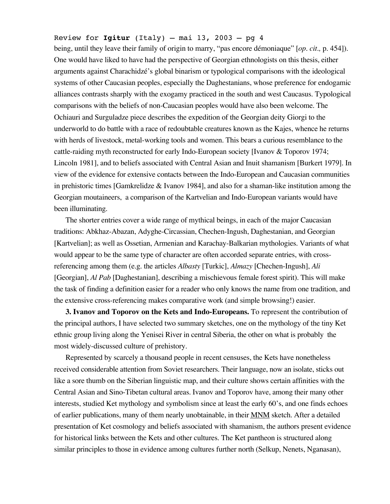# Review for **Igitur** (Italy)  $-$  mai 13, 2003  $-$  pg 4

being, until they leave their family of origin to marry, "pas encore démoniaque" [*op. cit.,* p. 454]). One would have liked to have had the perspective of Georgian ethnologists on this thesis, either arguments against Charachidzé's global binarism or typological comparisons with the ideological systems of other Caucasian peoples, especially the Daghestanians, whose preference for endogamic alliances contrasts sharply with the exogamy practiced in the south and west Caucasus. Typological comparisons with the beliefs of non-Caucasian peoples would have also been welcome. The Ochiauri and Surguladze piece describes the expedition of the Georgian deity Giorgi to the underworld to do battle with a race of redoubtable creatures known as the Kajes, whence he returns with herds of livestock, metal-working tools and women. This bears a curious resemblance to the cattle-raiding myth reconstructed for early Indo-European society [Ivanov & Toporov 1974; Lincoln 1981], and to beliefs associated with Central Asian and Inuit shamanism [Burkert 1979]. In view of the evidence for extensive contacts between the Indo-European and Caucasian communities in prehistoric times [Gamkrelidze  $\&$  Ivanov 1984], and also for a shaman-like institution among the Georgian moutaineers, a comparison of the Kartvelian and Indo-European variants would have been illuminating.

The shorter entries cover a wide range of mythical beings, in each of the major Caucasian traditions: Abkhaz-Abazan, Adyghe-Circassian, Chechen-Ingush, Daghestanian, and Georgian [Kartvelian]; as well as Ossetian, Armenian and Karachay-Balkarian mythologies. Variants of what would appear to be the same type of character are often accorded separate entries, with crossreferencing among them (e.g. the articles *Albasty* [Turkic], *Almazy* [Chechen-Ingush], *Ali* [Georgian], *Al Pab* [Daghestanian], describing a mischievous female forest spirit). This will make the task of finding a definition easier for a reader who only knows the name from one tradition, and the extensive cross-referencing makes comparative work (and simple browsing!) easier.

**3. Ivanov and Toporov on the Kets and Indo-Europeans.** To represent the contribution of the principal authors, I have selected two summary sketches, one on the mythology of the tiny Ket ethnic group living along the Yenisei River in central Siberia, the other on what is probably the most widely-discussed culture of prehistory.

Represented by scarcely a thousand people in recent censuses, the Kets have nonetheless received considerable attention from Soviet researchers. Their language, now an isolate, sticks out like a sore thumb on the Siberian linguistic map, and their culture shows certain affinities with the Central Asian and Sino-Tibetan cultural areas. Ivanov and Toporov have, among their many other interests, studied Ket mythology and symbolism since at least the early 60's, and one finds echoes of earlier publications, many of them nearly unobtainable, in their MNM sketch. After a detailed presentation of Ket cosmology and beliefs associated with shamanism, the authors present evidence for historical links between the Kets and other cultures. The Ket pantheon is structured along similar principles to those in evidence among cultures further north (Selkup, Nenets, Nganasan),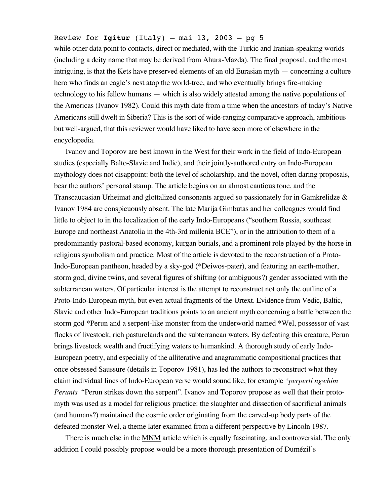## Review for **Igitur** (Italy)  $-$  mai 13, 2003  $-$  pg 5

while other data point to contacts, direct or mediated, with the Turkic and Iranian-speaking worlds (including a deity name that may be derived from Ahura-Mazda). The final proposal, and the most intriguing, is that the Kets have preserved elements of an old Eurasian myth — concerning a culture hero who finds an eagle's nest atop the world-tree, and who eventually brings fire-making technology to his fellow humans — which is also widely attested among the native populations of the Americas (Ivanov 1982). Could this myth date from a time when the ancestors of today's Native Americans still dwelt in Siberia? This is the sort of wide-ranging comparative approach, ambitious but well-argued, that this reviewer would have liked to have seen more of elsewhere in the encyclopedia.

Ivanov and Toporov are best known in the West for their work in the field of Indo-European studies (especially Balto-Slavic and Indic), and their jointly-authored entry on Indo-European mythology does not disappoint: both the level of scholarship, and the novel, often daring proposals, bear the authors' personal stamp. The article begins on an almost cautious tone, and the Transcaucasian Urheimat and glottalized consonants argued so passionately for in Gamkrelidze & Ivanov 1984 are conspicuously absent. The late Marija Gimbutas and her colleagues would find little to object to in the localization of the early Indo-Europeans ("southern Russia, southeast Europe and northeast Anatolia in the 4th-3rd millenia BCE"), or in the attribution to them of a predominantly pastoral-based economy, kurgan burials, and a prominent role played by the horse in religious symbolism and practice. Most of the article is devoted to the reconstruction of a Proto-Indo-European pantheon, headed by a sky-god (\*Deiwos-pater), and featuring an earth-mother, storm god, divine twins, and several figures of shifting (or ambiguous?) gender associated with the subterranean waters. Of particular interest is the attempt to reconstruct not only the outline of a Proto-Indo-European myth, but even actual fragments of the Urtext. Evidence from Vedic, Baltic, Slavic and other Indo-European traditions points to an ancient myth concerning a battle between the storm god \*Perun and a serpent-like monster from the underworld named \*Wel, possessor of vast flocks of livestock, rich pasturelands and the subterranean waters. By defeating this creature, Perun brings livestock wealth and fructifying waters to humankind. A thorough study of early Indo-European poetry, and especially of the alliterative and anagrammatic compositional practices that once obsessed Saussure (details in Toporov 1981), has led the authors to reconstruct what they claim individual lines of Indo-European verse would sound like, for example *\*perperti ngwhim Perunts* "Perun strikes down the serpent". Ivanov and Toporov propose as well that their protomyth was used as a model for religious practice: the slaughter and dissection of sacrificial animals (and humans?) maintained the cosmic order originating from the carved-up body parts of the defeated monster Wel, a theme later examined from a different perspective by Lincoln 1987.

There is much else in the MNM article which is equally fascinating, and controversial. The only addition I could possibly propose would be a more thorough presentation of Dumézil's